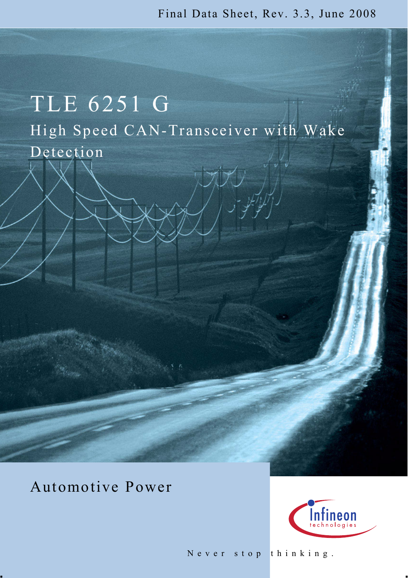Final [Data Sheet](https://www.application-datasheet.com/), Rev. 3.3, June 2008

# TLE 6251 G High Speed CAN-Transceiver with Wake Detection

Automotive Power 



Never stop thinking.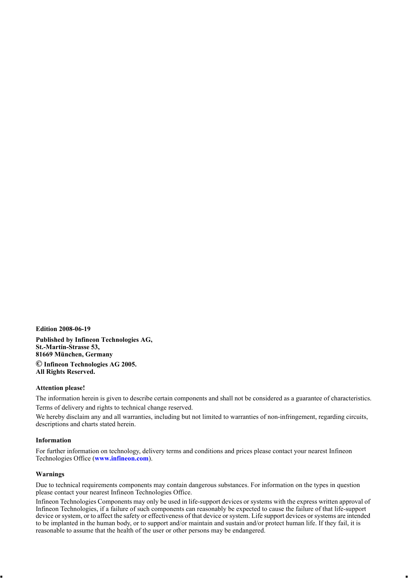**Edition 2008-06-19 Published by Infineon Technologies AG, St.-Martin-Strasse 53, 81669 München, Germany © Infineon Technologies AG 2005. All Rights Reserved.**

#### **Attention please!**

The information herein is given to describe certain components and shall not be considered as a guarantee of characteristics. Terms of delivery and rights to technical change reserved.

We hereby disclaim any and all warranties, including but not limited to warranties of non-infringement, regarding circuits, descriptions and charts stated herein.

#### **Information**

For further information on technology, delivery terms and conditions and prices please contact your nearest Infineon Technologies Office (**[www.infineon.com](http://www.infineon.com)**).

#### **Warnings**

Due to technical requirements components may contain dangerous substances. For information on the types in question please contact your nearest Infineon Technologies Office. please contact your nearest Infineon Technologies Office.<br>Infineon Technologies Components may only be used in life-support devices or systems with the express written approval of

Infineon Technologies, if a failure of such components can reasonably be expected to cause the failure of that life-support device or system, or to affect the safety or effectiveness of that device or system. Life support devices or systems are intended to be implanted in the human body, or to support and/or maintain and sustain and/or protect human life. If they fail, it is reasonable to assume that the health of the user or other persons may be endangered.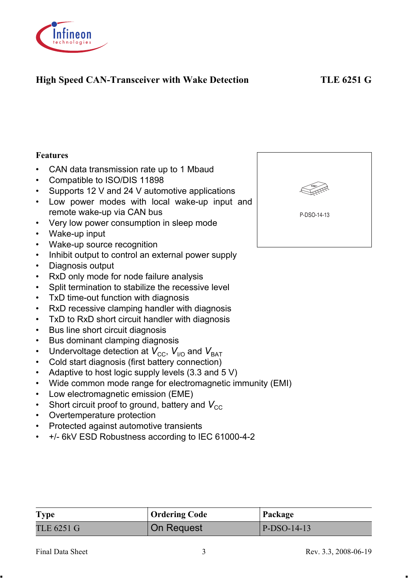

# **High Speed CAN-Transceiver with Wake Detection TLE 6251 G**

#### **Features**

- CAN data transmission rate up to 1 Mbaud
- Compatible to ISO/DIS 11898
- Supports 12 V and 24 V automotive applications
- Low power modes with local wake-up input and remote wake-up via CAN bus
- Very low power consumption in sleep mode
- Wake-up input
- Wake-up source recognition
- Inhibit output to control an external power supply
- Diagnosis output
- RxD only mode for node failure analysis
- Split termination to stabilize the recessive level
- TxD time-out function with diagnosis
- RxD recessive clamping handler with diagnosis
- TxD to RxD short circuit handler with diagnosis
- Bus line short circuit diagnosis
- Bus dominant clamping diagnosis
- Undervoltage detection at  $V_{\text{CC}}$ ,  $V_{\text{HO}}$  and  $V_{\text{BAT}}$
- Cold start diagnosis (first battery connection)
- Adaptive to host logic supply levels (3.3 and 5 V)
- Wide common mode range for electromagnetic immunity (EMI)

**Type Code** Package TLE 6251 G  $\vert$  On Request  $\vert$  P-DSO-14-13

- Low electromagnetic emission (EME)
- Short circuit proof to ground, battery and  $V_{CC}$
- Overtemperature protection
- Protected against automotive transients
- +/- 6kV ESD Robustness according to IEC 61000-4-2

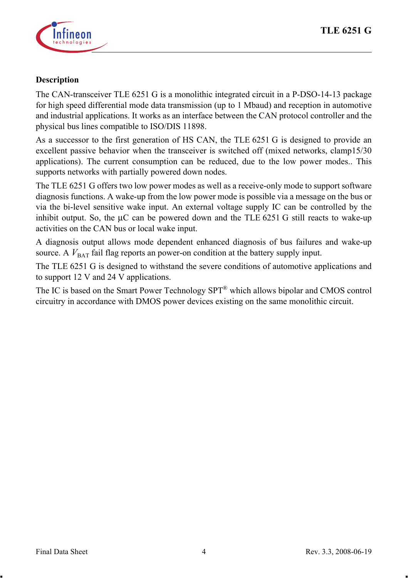

#### **Description**

The CAN-transceiver TLE 6251 G is a monolithic integrated circuit in a P-DSO-14-13 package for high speed differential mode data transmission (up to 1 Mbaud) and reception in automotive and industrial applications. It works as an interface between the CAN protocol controller and the physical bus lines compatible to ISO/DIS 11898.

As a successor to the first generation of HS CAN, the TLE 6251 G is designed to provide an excellent passive behavior when the transceiver is switched off (mixed networks, clamp15/30 applications). The current consumption can be reduced, due to the low power modes.. This supports networks with partially powered down nodes.

The TLE 6251 G offers two low power modes as well as a receive-only mode to support software diagnosis functions. A wake-up from the low power mode is possible via a message on the bus or via the bi-level sensitive wake input. An external voltage supply IC can be controlled by the inhibit output. So, the  $\mu$ C can be powered down and the TLE 6251 G still reacts to wake-up activities on the CAN bus or local wake input.

A diagnosis output allows mode dependent enhanced diagnosis of bus failures and wake-up source. A  $V_{\text{BAT}}$  fail flag reports an power-on condition at the battery supply input.

The TLE 6251 G is designed to withstand the severe conditions of automotive applications and to support 12 V and 24 V applications.

The IC is based on the Smart Power Technology SPT® which allows bipolar and CMOS control circuitry in accordance with DMOS power devices existing on the same monolithic circuit.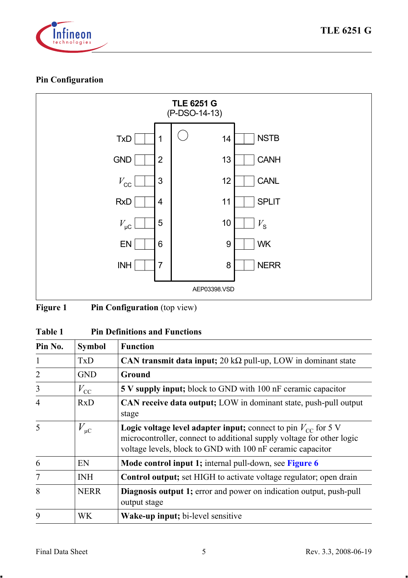

# **Pin Configuration**



| Figure 1 | <b>Pin Configuration</b> (top view) |  |
|----------|-------------------------------------|--|
|----------|-------------------------------------|--|

# **Table 1 Pin Definitions and Functions**

| Pin No.        | Symbol       | <b>Function</b>                                                                                                                                                                                                  |
|----------------|--------------|------------------------------------------------------------------------------------------------------------------------------------------------------------------------------------------------------------------|
| 1              | TxD          | CAN transmit data input; $20 \text{ k}\Omega$ pull-up, LOW in dominant state                                                                                                                                     |
| $\overline{2}$ | <b>GND</b>   | Ground                                                                                                                                                                                                           |
| 3              | $V_{\rm CC}$ | <b>5 V supply input;</b> block to GND with 100 nF ceramic capacitor                                                                                                                                              |
| $\overline{4}$ | RxD          | CAN receive data output; LOW in dominant state, push-pull output<br>stage                                                                                                                                        |
| 5              | $V_{\mu C}$  | <b>Logic voltage level adapter input;</b> connect to pin $V_{CC}$ for 5 V<br>microcontroller, connect to additional supply voltage for other logic<br>voltage levels, block to GND with 100 nF ceramic capacitor |
| 6              | EN           | Mode control input 1; internal pull-down, see Figure 6                                                                                                                                                           |
| 7              | INH          | <b>Control output</b> ; set HIGH to activate voltage regulator; open drain                                                                                                                                       |
| 8              | <b>NERR</b>  | Diagnosis output 1; error and power on indication output, push-pull<br>output stage                                                                                                                              |
| $\mathbf Q$    | WK.          | Wake-up input; bi-level sensitive                                                                                                                                                                                |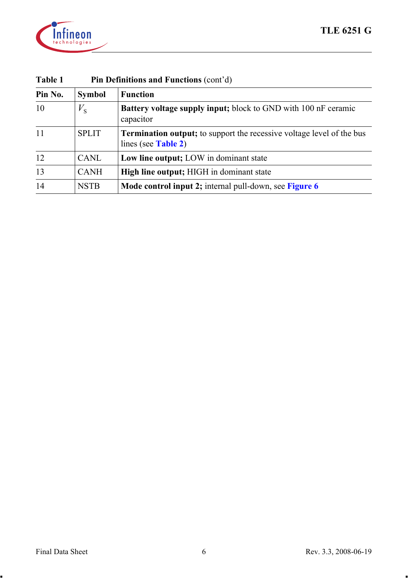

| таріе т | PIN Definitions and Functions (cont d) |                                                                                                 |  |  |  |  |  |
|---------|----------------------------------------|-------------------------------------------------------------------------------------------------|--|--|--|--|--|
| Pin No. | <b>Symbol</b>                          | <b>Function</b>                                                                                 |  |  |  |  |  |
| 10      | $V_{\rm s}$                            | Battery voltage supply input; block to GND with 100 nF ceramic<br>capacitor                     |  |  |  |  |  |
| 11      | <b>SPLIT</b>                           | Termination output; to support the recessive voltage level of the bus<br>lines (see Table $2$ ) |  |  |  |  |  |
| 12      | CANL                                   | Low line output: LOW in dominant state                                                          |  |  |  |  |  |
| 13      | <b>CANH</b>                            | <b>High line output:</b> HIGH in dominant state                                                 |  |  |  |  |  |
| 14      | <b>NSTB</b>                            | Mode control input 2; internal pull-down, see Figure 6                                          |  |  |  |  |  |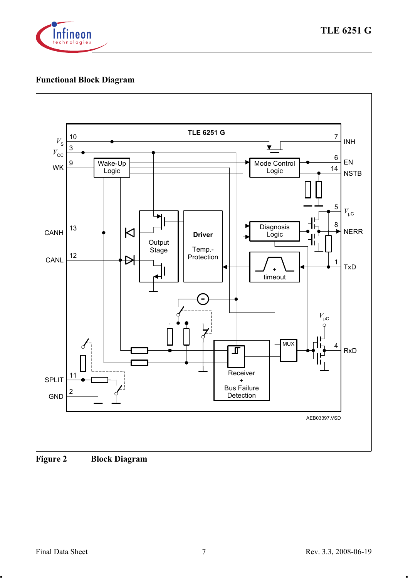

# **Functional Block Diagram**



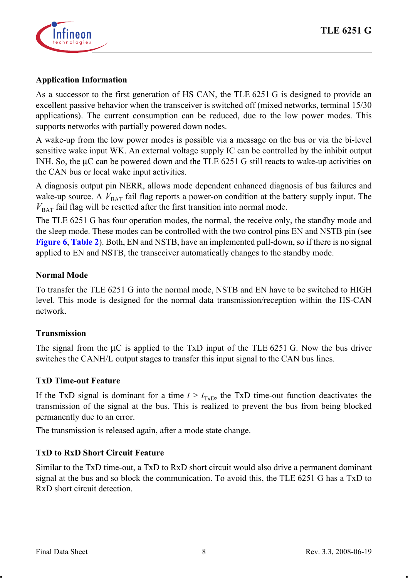

#### **Application Information**

As a successor to the first generation of HS CAN, the TLE 6251 G is designed to provide an excellent passive behavior when the transceiver is switched off (mixed networks, terminal 15/30 applications). The current consumption can be reduced, due to the low power modes. This supports networks with partially powered down nodes.

A wake-up from the low power modes is possible via a message on the bus or via the bi-level sensitive wake input WK. An external voltage supply IC can be controlled by the inhibit output INH. So, the µC can be powered down and the TLE 6251 G still reacts to wake-up activities on the CAN bus or local wake input activities.

A diagnosis output pin NERR, allows mode dependent enhanced diagnosis of bus failures and wake-up source. A  $V_{\text{BAT}}$  fail flag reports a power-on condition at the battery supply input. The  $V_{\text{BAT}}$  fail flag will be resetted after the first transition into normal mode.

The TLE 6251 G has four operation modes, the normal, the receive only, the standby mode and the sleep mode. These modes can be controlled with the two control pins EN and NSTB pin (see **[Figure](#page-16-0) 6**, **[Table](#page-17-0) 2**). Both, EN and NSTB, have an implemented pull-down, so if there is no signal applied to EN and NSTB, the transceiver automatically changes to the standby mode.

#### **Normal Mode**

To transfer the TLE 6251 G into the normal mode, NSTB and EN have to be switched to HIGH level. This mode is designed for the normal data transmission/reception within the HS-CAN network.

## **Transmission**

The signal from the  $\mu$ C is applied to the TxD input of the TLE 6251 G. Now the bus driver switches the CANH/L output stages to transfer this input signal to the CAN bus lines.

#### **TxD Time-out Feature**

If the TxD signal is dominant for a time  $t > t_{\text{TvD}}$ , the TxD time-out function deactivates the transmission of the signal at the bus. This is realized to prevent the bus from being blocked permanently due to an error.

The transmission is released again, after a mode state change.

## **TxD to RxD Short Circuit Feature**

Similar to the TxD time-out, a TxD to RxD short circuit would also drive a permanent dominant signal at the bus and so block the communication. To avoid this, the TLE 6251 G has a TxD to RxD short circuit detection.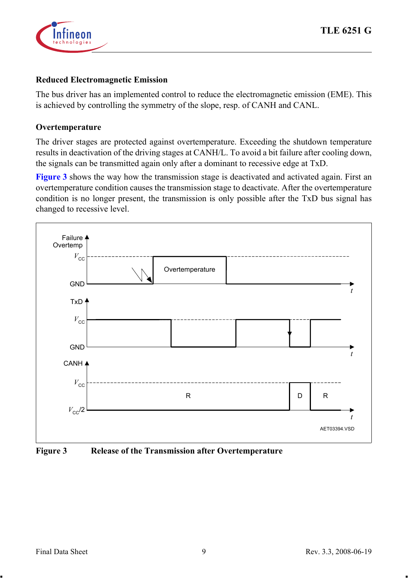

#### **Reduced Electromagnetic Emission**

The bus driver has an implemented control to reduce the electromagnetic emission (EME). This is achieved by controlling the symmetry of the slope, resp. of CANH and CANL.

#### **Overtemperature**

The driver stages are protected against overtemperature. Exceeding the shutdown temperature results in deactivation of the driving stages at CANH/L. To avoid a bit failure after cooling down, the signals can be transmitted again only after a dominant to recessive edge at TxD.

**[Figure](#page-8-0) 3** shows the way how the transmission stage is deactivated and activated again. First an overtemperature condition causes the transmission stage to deactivate. After the overtemperature condition is no longer present, the transmission is only possible after the TxD bus signal has changed to recessive level.



<span id="page-8-0"></span>**Figure 3 Release of the Transmission after Overtemperature**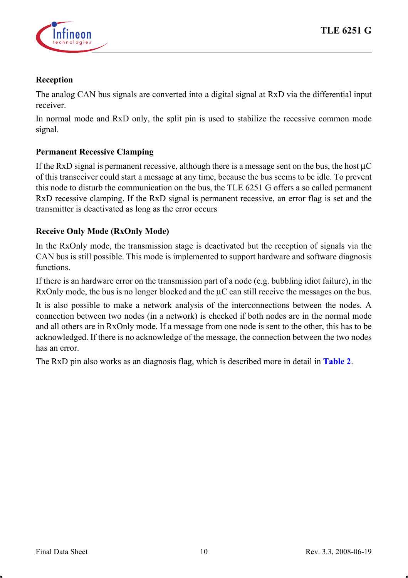

#### **Reception**

The analog CAN bus signals are converted into a digital signal at RxD via the differential input receiver.

In normal mode and RxD only, the split pin is used to stabilize the recessive common mode signal.

#### **Permanent Recessive Clamping**

If the RxD signal is permanent recessive, although there is a message sent on the bus, the host µC of this transceiver could start a message at any time, because the bus seems to be idle. To prevent this node to disturb the communication on the bus, the TLE 6251 G offers a so called permanent RxD recessive clamping. If the RxD signal is permanent recessive, an error flag is set and the transmitter is deactivated as long as the error occurs

#### **Receive Only Mode (RxOnly Mode)**

In the RxOnly mode, the transmission stage is deactivated but the reception of signals via the CAN bus is still possible. This mode is implemented to support hardware and software diagnosis functions.

If there is an hardware error on the transmission part of a node (e.g. bubbling idiot failure), in the RxOnly mode, the bus is no longer blocked and the  $\mu$ C can still receive the messages on the bus.

It is also possible to make a network analysis of the interconnections between the nodes. A connection between two nodes (in a network) is checked if both nodes are in the normal mode and all others are in RxOnly mode. If a message from one node is sent to the other, this has to be acknowledged. If there is no acknowledge of the message, the connection between the two nodes has an error.

The RxD pin also works as an diagnosis flag, which is described more in detail in **[Table](#page-17-0) 2**.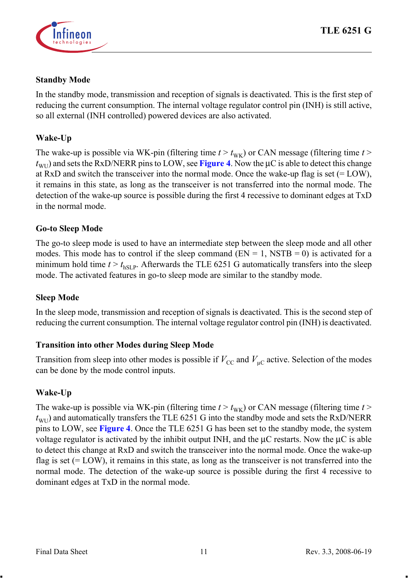

#### **Standby Mode**

In the standby mode, transmission and reception of signals is deactivated. This is the first step of reducing the current consumption. The internal voltage regulator control pin (INH) is still active, so all external (INH controlled) powered devices are also activated.

## **Wake-Up**

The wake-up is possible via WK-pin (filtering time  $t > t_{\text{wk}}$ ) or CAN message (filtering time  $t >$  $t_{\text{WII}}$ ) and sets the RxD/NERR pins to LOW, see **[Figure](#page-11-0) 4**. Now the  $\mu$ C is able to detect this change at  $RxD$  and switch the transceiver into the normal mode. Once the wake-up flag is set (= LOW), it remains in this state, as long as the transceiver is not transferred into the normal mode. The detection of the wake-up source is possible during the first 4 recessive to dominant edges at TxD in the normal mode.

## **Go-to Sleep Mode**

The go-to sleep mode is used to have an intermediate step between the sleep mode and all other modes. This mode has to control if the sleep command ( $EN = 1$ , NSTB = 0) is activated for a minimum hold time  $t > t_{\text{hST P}}$ . Afterwards the TLE 6251 G automatically transfers into the sleep mode. The activated features in go-to sleep mode are similar to the standby mode.

## **Sleep Mode**

In the sleep mode, transmission and reception of signals is deactivated. This is the second step of reducing the current consumption. The internal voltage regulator control pin (INH) is deactivated.

## **Transition into other Modes during Sleep Mode**

Transition from sleep into other modes is possible if  $V_{\text{CC}}$  and  $V_{\text{UC}}$  active. Selection of the modes can be done by the mode control inputs.

## **Wake-Up**

The wake-up is possible via WK-pin (filtering time  $t > t_{\text{wk}}$ ) or CAN message (filtering time  $t >$  $t_{\text{WII}}$ ) and automatically transfers the TLE 6251 G into the standby mode and sets the RxD/NERR pins to LOW, see **[Figure](#page-11-0) 4**. Once the TLE 6251 G has been set to the standby mode, the system voltage regulator is activated by the inhibit output INH, and the  $\mu$ C restarts. Now the  $\mu$ C is able to detect this change at RxD and switch the transceiver into the normal mode. Once the wake-up flag is set (= LOW), it remains in this state, as long as the transceiver is not transferred into the normal mode. The detection of the wake-up source is possible during the first 4 recessive to dominant edges at TxD in the normal mode.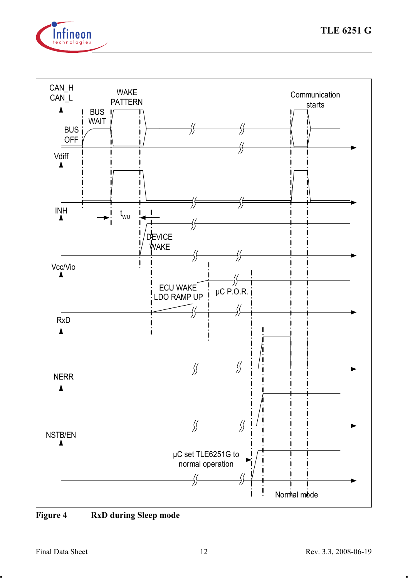



<span id="page-11-0"></span>**Figure 4 RxD during Sleep mode**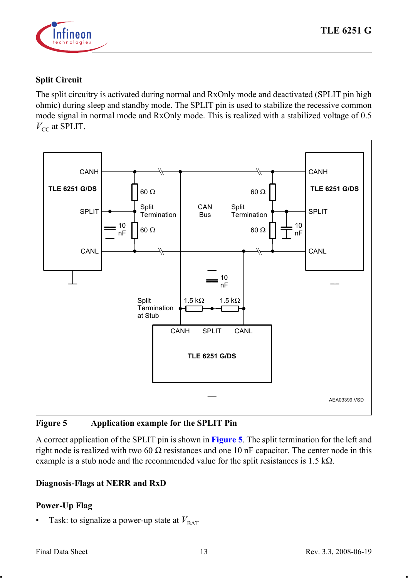

# **Split Circuit**

The split circuitry is activated during normal and RxOnly mode and deactivated (SPLIT pin high ohmic) during sleep and standby mode. The SPLIT pin is used to stabilize the recessive common mode signal in normal mode and RxOnly mode. This is realized with a stabilized voltage of 0.5  $V_{CC}$  at SPLIT.



<span id="page-12-0"></span>**Figure 5 Application example for the SPLIT Pin** 

A correct application of the SPLIT pin is shown in **[Figure](#page-12-0) 5**. The split termination for the left and right node is realized with two 60  $\Omega$  resistances and one 10 nF capacitor. The center node in this example is a stub node and the recommended value for the split resistances is  $1.5 \text{ k}\Omega$ .

## **Diagnosis-Flags at NERR and RxD**

# **Power-Up Flag**

Task: to signalize a power-up state at  $V_{\text{BAT}}$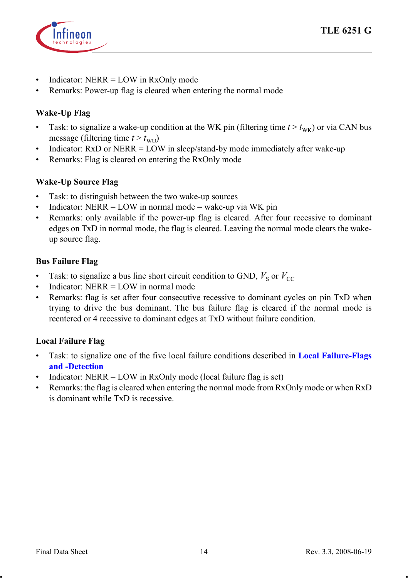

- Indicator: NERR = LOW in RxOnly mode
- Remarks: Power-up flag is cleared when entering the normal mode

## **Wake-Up Flag**

- Task: to signalize a wake-up condition at the WK pin (filtering time  $t > t_{WK}$ ) or via CAN bus message (filtering time  $t > t_{\text{WU}}$ )
- Indicator: RxD or NERR = LOW in sleep/stand-by mode immediately after wake-up
- Remarks: Flag is cleared on entering the RxOnly mode

#### **Wake-Up Source Flag**

- Task: to distinguish between the two wake-up sources
- Indicator:  $NERR = LOW$  in normal mode = wake-up via WK pin
- Remarks: only available if the power-up flag is cleared. After four recessive to dominant edges on TxD in normal mode, the flag is cleared. Leaving the normal mode clears the wakeup source flag.

#### **Bus Failure Flag**

- Task: to signalize a bus line short circuit condition to GND,  $V_s$  or  $V_{CC}$
- Indicator: NERR = LOW in normal mode
- Remarks: flag is set after four consecutive recessive to dominant cycles on pin TxD when trying to drive the bus dominant. The bus failure flag is cleared if the normal mode is reentered or 4 recessive to dominant edges at TxD without failure condition.

## **Local Failure Flag**

- Task: to signalize one of the five local failure conditions described in **[Local Failure-Flags](#page-14-0)  [and -Detection](#page-14-0)**
- Indicator:  $NERR = LOW$  in  $RxOnly$  mode (local failure flag is set)
- Remarks: the flag is cleared when entering the normal mode from RxOnly mode or when RxD is dominant while TxD is recessive.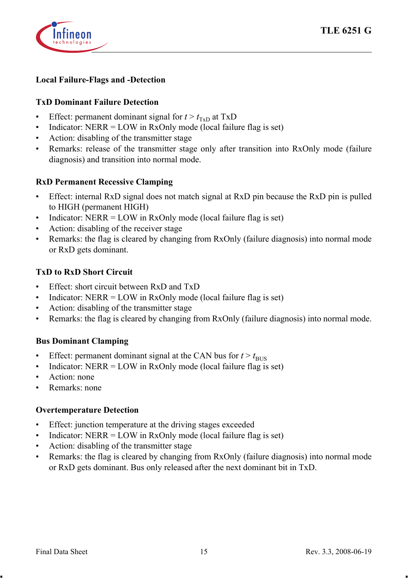

#### <span id="page-14-0"></span>**Local Failure-Flags and -Detection**

#### **TxD Dominant Failure Detection**

- Effect: permanent dominant signal for  $t > t_{\text{Tr}}$  at TxD
- Indicator:  $NERR = LOW$  in  $RxOnly$  mode (local failure flag is set)
- Action: disabling of the transmitter stage
- Remarks: release of the transmitter stage only after transition into RxOnly mode (failure diagnosis) and transition into normal mode.

#### **RxD Permanent Recessive Clamping**

- Effect: internal RxD signal does not match signal at RxD pin because the RxD pin is pulled to HIGH (permanent HIGH)
- Indicator:  $NERR = LOW$  in  $RxOnly$  mode (local failure flag is set)
- Action: disabling of the receiver stage
- Remarks: the flag is cleared by changing from RxOnly (failure diagnosis) into normal mode or RxD gets dominant.

#### **TxD to RxD Short Circuit**

- Effect: short circuit between RxD and TxD
- Indicator:  $NERR = LOW$  in  $RxOnly$  mode (local failure flag is set)
- Action: disabling of the transmitter stage
- Remarks: the flag is cleared by changing from RxOnly (failure diagnosis) into normal mode.

#### **Bus Dominant Clamping**

- Effect: permanent dominant signal at the CAN bus for  $t > t_{\text{BUS}}$
- Indicator:  $NERR = LOW$  in  $RxOnly$  mode (local failure flag is set)
- Action: none
- Remarks: none

#### **Overtemperature Detection**

- Effect: junction temperature at the driving stages exceeded
- Indicator:  $NERR = LOW$  in  $RxOnly$  mode (local failure flag is set)
- Action: disabling of the transmitter stage
- Remarks: the flag is cleared by changing from RxOnly (failure diagnosis) into normal mode or RxD gets dominant. Bus only released after the next dominant bit in TxD.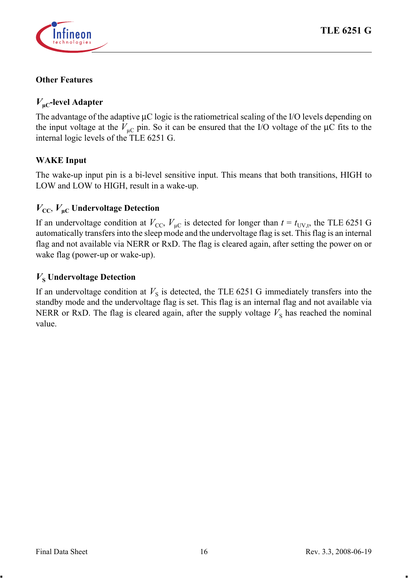

#### **Other Features**

# *V***µC-level Adapter**

The advantage of the adaptive  $\mu$ C logic is the ratiometrical scaling of the I/O levels depending on the input voltage at the  $V_{\text{m}}$  pin. So it can be ensured that the I/O voltage of the  $\mu$ C fits to the internal logic levels of the TLE 6251 G.

#### **WAKE Input**

The wake-up input pin is a bi-level sensitive input. This means that both transitions, HIGH to LOW and LOW to HIGH, result in a wake-up.

## $V_{CC}$ ,  $V_{\text{uc}}$  Undervoltage Detection

If an undervoltage condition at  $V_{\text{CC}}$ ,  $V_{\text{UC}}$  is detected for longer than  $t = t_{\text{UV},t}$ , the TLE 6251 G automatically transfers into the sleep mode and the undervoltage flag is set. This flag is an internal flag and not available via NERR or RxD. The flag is cleared again, after setting the power on or wake flag (power-up or wake-up).

#### $V_s$  Undervoltage Detection

If an undervoltage condition at  $V<sub>S</sub>$  is detected, the TLE 6251 G immediately transfers into the standby mode and the undervoltage flag is set. This flag is an internal flag and not available via NERR or RxD. The flag is cleared again, after the supply voltage  $V<sub>S</sub>$  has reached the nominal value.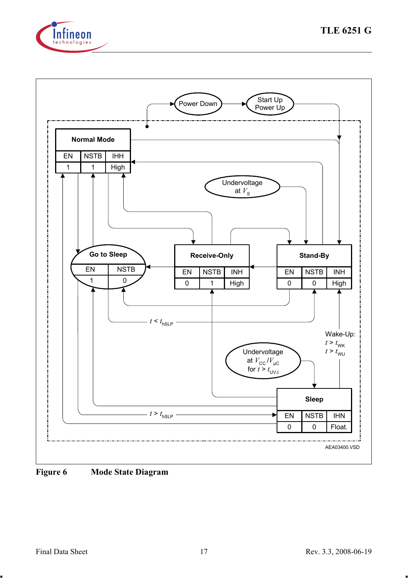



<span id="page-16-0"></span>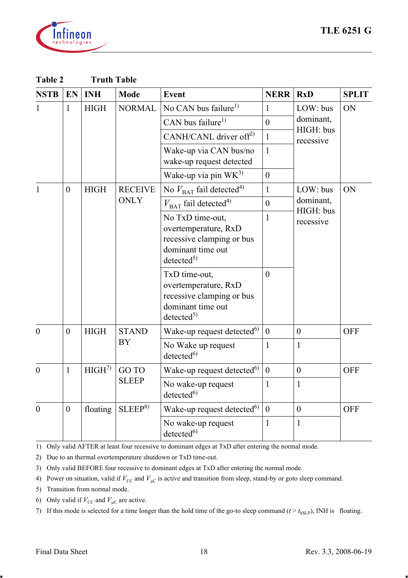

| <b>NSTB</b>  | EN       | <b>INH</b>                                                                                                       | Mode               | Event                                                                                                               | <b>NERR</b>  | RxD                    | <b>SPLIT</b> |
|--------------|----------|------------------------------------------------------------------------------------------------------------------|--------------------|---------------------------------------------------------------------------------------------------------------------|--------------|------------------------|--------------|
| $\mathbf{1}$ | 1        | <b>HIGH</b>                                                                                                      | <b>NORMAL</b>      | No CAN bus failure <sup>1)</sup>                                                                                    | 1            | $LOW:$ bus             | ON           |
|              |          |                                                                                                                  |                    | CAN bus failure <sup>1)</sup>                                                                                       | $\theta$     | dominant.              |              |
|              |          |                                                                                                                  |                    | CANH/CANL driver off <sup>2)</sup>                                                                                  | $\mathbf{1}$ | HIGH: bus<br>recessive |              |
|              |          |                                                                                                                  |                    | Wake-up via CAN bus/no<br>wake-up request detected                                                                  | $\mathbf{1}$ |                        |              |
|              |          |                                                                                                                  |                    | Wake-up via pin WK <sup>3)</sup>                                                                                    | $\theta$     |                        |              |
| 1            | $\theta$ | <b>HIGH</b>                                                                                                      | <b>RECEIVE</b>     | No $V_{\text{BAT}}$ fail detected <sup>4)</sup>                                                                     | $\mathbf{1}$ | LOW: bus               | ON           |
|              |          |                                                                                                                  | <b>ONLY</b>        | $V_{\text{BAT}}$ fail detected <sup>4)</sup>                                                                        | $\theta$     | dominant,              |              |
|              |          |                                                                                                                  |                    | No TxD time-out,<br>overtemperature, RxD<br>recessive clamping or bus<br>dominant time out<br>detected <sup>5</sup> | 1            | HIGH: bus<br>recessive |              |
|              |          | TxD time-out,<br>overtemperature, RxD<br>recessive clamping or bus<br>dominant time out<br>detected <sup>5</sup> |                    | $\theta$                                                                                                            |              |                        |              |
| $\Omega$     | $\theta$ | <b>HIGH</b>                                                                                                      | <b>STAND</b>       | Wake-up request detected <sup>6)</sup>                                                                              | $\theta$     | $\mathbf{0}$           | OFF          |
|              |          |                                                                                                                  | BY                 | No Wake up request<br>detected <sup>6)</sup>                                                                        | 1            | 1                      |              |
| $\theta$     | 1        | HIGH <sup>7</sup>                                                                                                | GO TO              | Wake-up request detected <sup>6)</sup>                                                                              | $\mathbf{0}$ | $\mathbf{0}$           | <b>OFF</b>   |
|              |          |                                                                                                                  | <b>SLEEP</b>       | No wake-up request<br>detected <sup>6</sup>                                                                         | 1            | $\mathbf{1}$           |              |
| $\theta$     | $\theta$ | floating                                                                                                         | SLEEP <sup>8</sup> | Wake-up request detected <sup>6)</sup>                                                                              | $\theta$     | $\mathbf{0}$           | <b>OFF</b>   |
|              |          |                                                                                                                  |                    | No wake-up request<br>detected <sup>6</sup>                                                                         | 1            | 1                      |              |

<span id="page-17-0"></span>**Table 2 Truth Table**

<span id="page-17-1"></span>1) Only valid AFTER at least four recessive to dominant edges at TxD after entering the normal mode.

2) Due to an thermal overtemperature shutdown or TxD time-out.

3) Only valid BEFORE four recessive to dominant edges at TxD after entering the normal mode.

<span id="page-17-3"></span>4) Power on situation, valid if  $V_{\text{CC}}$  and  $V_{\mu\text{C}}$  is active and transition from sleep, stand-by or goto sleep command.

<span id="page-17-2"></span>5) Transition from normal mode.

<span id="page-17-4"></span>6) Transition from normal mode.<br>6) Only valid if  $V_{\text{CC}}$  and  $V_{\mu\text{C}}$  are active.

7) If this mode is selected for a time longer than the hold time of the go-to sleep command  $(t > t_{hSLP})$ , INH is floating.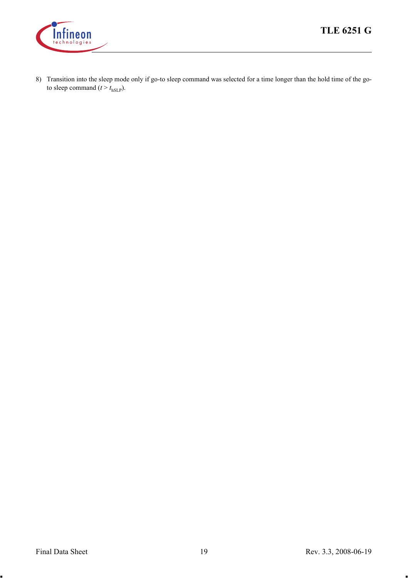

8) Transition into the sleep mode only if go-to sleep command was selected for a time longer than the hold time of the goto sleep command  $(t > t_{\text{hSLP}})$ .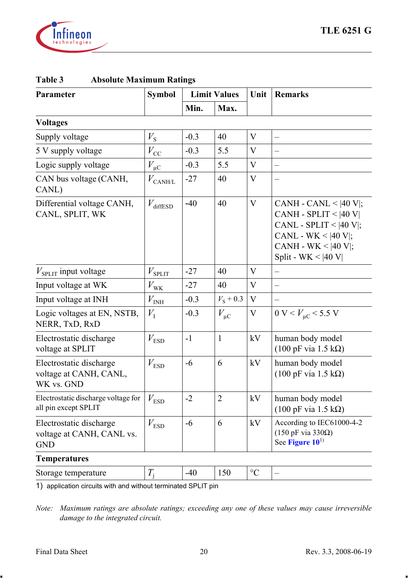

| Parameter                                                          | <b>Symbol</b>             |        | <b>Limit Values</b> | Unit              | <b>Remarks</b>                                                                                                                                                                        |  |
|--------------------------------------------------------------------|---------------------------|--------|---------------------|-------------------|---------------------------------------------------------------------------------------------------------------------------------------------------------------------------------------|--|
|                                                                    |                           | Min.   | Max.                |                   |                                                                                                                                                                                       |  |
| <b>Voltages</b>                                                    |                           |        |                     |                   |                                                                                                                                                                                       |  |
| Supply voltage                                                     | $V_{\rm S}$               | $-0.3$ | 40                  | V                 | $\overline{\phantom{0}}$                                                                                                                                                              |  |
| 5 V supply voltage                                                 | $V_{\rm CC}$              | $-0.3$ | 5.5                 | V                 |                                                                                                                                                                                       |  |
| Logic supply voltage                                               | $V_{\mu C}$               | $-0.3$ | 5.5                 | V                 | $\overline{\phantom{0}}$                                                                                                                                                              |  |
| CAN bus voltage (CANH,<br>CANL)                                    | $V_{\text{CANH/L}}$       | $-27$  | 40                  | V                 |                                                                                                                                                                                       |  |
| Differential voltage CANH,<br>CANL, SPLIT, WK                      | $V_{\text{diffESD}}$      | $-40$  | 40                  | V                 | CANH - CANL < $ 40 \text{ V} $ ;<br>CANH - SPLIT < $ 40 V $<br>CANL - SPLIT < $ 40 V $ ;<br>CANL - WK < $ 40 \text{ V} $ ;<br>CANH - WK < $ 40 \text{ V} $ ;<br>Split - WK < $ 40 V $ |  |
| $V_{\text{SPLIT}}$ input voltage                                   | $V_{\rm SPIIT}$           | $-27$  | 40                  | V                 |                                                                                                                                                                                       |  |
| Input voltage at WK                                                | $V_{\rm WK}$              | $-27$  | 40                  | V                 |                                                                                                                                                                                       |  |
| Input voltage at INH                                               | $V_{\rm IN\underline{H}}$ | $-0.3$ | $V_{\rm S}$ + 0.3   | V                 |                                                                                                                                                                                       |  |
| Logic voltages at EN, NSTB,<br>NERR, TxD, RxD                      | $V_{\rm I}$               | $-0.3$ | $V_{\mu C}$         | V                 | 0 V < V <sub>uc</sub> < 5.5 V                                                                                                                                                         |  |
| Electrostatic discharge<br>voltage at SPLIT                        | $V_{\rm ESD}$             | $-1$   | 1                   | kV                | human body model<br>$(100 \text{ pF via } 1.5 \text{ k}\Omega)$                                                                                                                       |  |
| Electrostatic discharge<br>voltage at CANH, CANL,<br>WK vs. GND    | $V_{\text{ESD}}$          | $-6$   | 6                   | kV                | human body model<br>$(100 \text{ pF via } 1.5 \text{ k}\Omega)$                                                                                                                       |  |
| Electrostatic discharge voltage for<br>all pin except SPLIT        | $V_{\text{ESD}}$          | $-2$   | $\overline{c}$      | kV                | human body model<br>$(100 \text{ pF via } 1.5 \text{ k}\Omega)$                                                                                                                       |  |
| Electrostatic discharge<br>voltage at CANH, CANL vs.<br><b>GND</b> | $V_{\text{ESD}}$          | $-6$   | 6                   | kV                | According to IEC61000-4-2<br>$(150 \text{ pF via } 330 \Omega)$<br>See Figure $10^{1}$                                                                                                |  |
| Temperatures                                                       |                           |        |                     |                   |                                                                                                                                                                                       |  |
| Storage temperature                                                | $T_{\rm j}$               | $-40$  | 150                 | $^{\circ}{\rm C}$ |                                                                                                                                                                                       |  |
|                                                                    |                           |        |                     |                   |                                                                                                                                                                                       |  |

## **Table 3 Absolute Maximum Ratings**

1) application circuits with and without terminated SPLIT pin

*Note: Maximum ratings are absolute ratings; exceeding any one of these values may cause irreversible*  *damage to the integrated circuit.*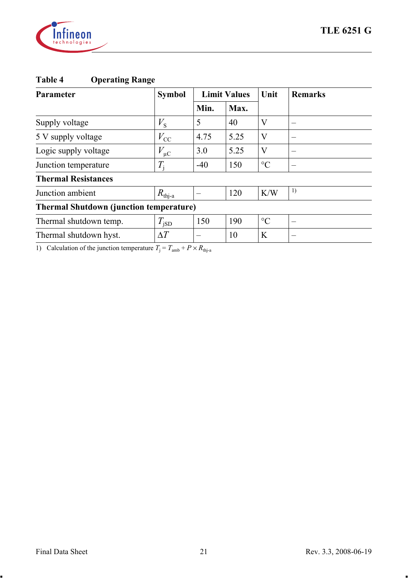

| <b>Table 4</b> | <b>Operating Range</b> |
|----------------|------------------------|
|----------------|------------------------|

| Parameter                                      | <b>Symbol</b>     | <b>Limit Values</b> |      | Unit            | <b>Remarks</b> |  |  |  |  |
|------------------------------------------------|-------------------|---------------------|------|-----------------|----------------|--|--|--|--|
|                                                |                   | Min.                | Max. |                 |                |  |  |  |  |
| Supply voltage                                 | $V_{\rm S}$       | 5                   | 40   | V               |                |  |  |  |  |
| 5 V supply voltage                             | $V_{\rm CC}$      | 4.75                | 5.25 | V               | -              |  |  |  |  |
| Logic supply voltage                           | $V_{\mu C}$       | 3.0                 | 5.25 | V               |                |  |  |  |  |
| Junction temperature                           | $T_{\rm i}$       | $-40$               | 150  | $\rm ^{\circ}C$ |                |  |  |  |  |
| <b>Thermal Resistances</b>                     |                   |                     |      |                 |                |  |  |  |  |
| Junction ambient                               | $R_{\text{th}-a}$ |                     | 120  | K/W             | 1)             |  |  |  |  |
| <b>Thermal Shutdown (junction temperature)</b> |                   |                     |      |                 |                |  |  |  |  |
| Thermal shutdown temp.                         | $T_{\rm jSD}$     | 150                 | 190  | $\rm ^{\circ}C$ |                |  |  |  |  |
| Thermal shutdown hyst.                         | $\Delta T$        |                     | 10   | K               |                |  |  |  |  |
|                                                |                   |                     |      |                 |                |  |  |  |  |

1) Calculation of the junction temperature  $T_i = T_{amb} + P \times R_{thja}$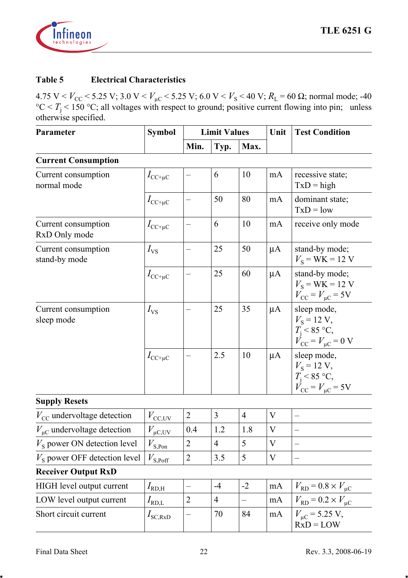

#### **Table 5 Electrical Characteristics**

| Parameter                              | <b>Symbol</b>                         | <b>Limit Values</b> |                |                          | Unit    | <b>Test Condition</b>                                                                                      |  |
|----------------------------------------|---------------------------------------|---------------------|----------------|--------------------------|---------|------------------------------------------------------------------------------------------------------------|--|
|                                        |                                       | Min.                | Typ.           | Max.                     |         |                                                                                                            |  |
| <b>Current Consumption</b>             |                                       |                     |                |                          |         |                                                                                                            |  |
| Current consumption<br>normal mode     | $I_{\text{CC}+\mu\text{C}}$           |                     | 6              | 10                       | mA      | recessive state;<br>$TxD = high$                                                                           |  |
|                                        | $I_{\text{CC}+\mu\text{C}}$           |                     | 50             | 80                       | mA      | dominant state;<br>$TxD = low$                                                                             |  |
| Current consumption<br>RxD Only mode   | $I_{\text{CC}+\mu\text{C}}$           | —                   | 6              | 10                       | mA      | receive only mode                                                                                          |  |
| Current consumption<br>stand-by mode   | $I_{\rm VS}$                          |                     | 25             | 50                       | $\mu A$ | stand-by mode;<br>$V_{\rm s}$ = WK = 12 V                                                                  |  |
|                                        | $I_{\text{CC+} \mu\text{C}}$          | -                   | 25             | 60                       | $\mu A$ | stand-by mode;<br>$V_{\rm s}$ = WK = 12 V<br>$V_{\rm CC} = V_{\rm \mu C} = 5$ V                            |  |
| Current consumption<br>sleep mode      | $I_{\rm VS}$                          |                     | 25             | 35                       | $\mu A$ | sleep mode,<br>$V_{\rm s}$ = 12 V,<br>$T_{\rm i}$ < 85 °C,<br>$\dot{V}_{\rm CC} = V_{\mu C} = 0 \text{ V}$ |  |
|                                        | $I_{\text{CC+} \mu\text{C}}$          |                     | 2.5            | 10                       | μA      | sleep mode,<br>$V_{\rm s}$ = 12 V,<br>$T_i$ < 85 °C,<br>$V_{\text{CC}} = V_{\mu C} = 5V$                   |  |
| <b>Supply Resets</b>                   |                                       |                     |                |                          |         |                                                                                                            |  |
| $V_{\text{CC}}$ undervoltage detection | $V_{\text{CC,\underline{UV}}}$        | $\overline{c}$      | 3              | $\overline{4}$           | V       | $\overline{\phantom{0}}$                                                                                   |  |
| $V_{\mu C}$ undervoltage detection     | $V_{\mu {\rm C,UV}}$                  | 0.4                 | 1.2            | 1.8                      | V       | $\overline{a}$                                                                                             |  |
| $Vs$ power ON detection level          | $V_{\text{S},\underline{\text{Pon}}}$ | $\overline{c}$      | $\overline{4}$ | 5                        | V       | $\overline{\phantom{0}}$                                                                                   |  |
| $V_s$ power OFF detection level        | $V_{\rm S, Poff}$                     | $\overline{c}$      | 3.5            | 5                        | V       | $\overline{\phantom{0}}$                                                                                   |  |
| <b>Receiver Output RxD</b>             |                                       |                     |                |                          |         |                                                                                                            |  |
| HIGH level output current              | $I_{\rm RD, H}$                       | $\qquad \qquad -$   | $-4$           | $-2$                     | mA      | $V_{\rm RD}$ = 0.8 $\times$ $V_{\rm \mu C}$                                                                |  |
| LOW level output current               | $I_{\text{RD},\underline{\text{L}}}$  | $\overline{2}$      | $\overline{4}$ | $\overline{\phantom{0}}$ | mA      | $V_{\rm RD}$ = 0.2 $\times$ $V_{\mu C}$                                                                    |  |
| Short circuit current                  | $I_{\rm SC,RxD}$                      | —                   | 70             | 84                       | mA      | $V_{\mu C}$ = 5.25 V,<br>$RxD = LOW$                                                                       |  |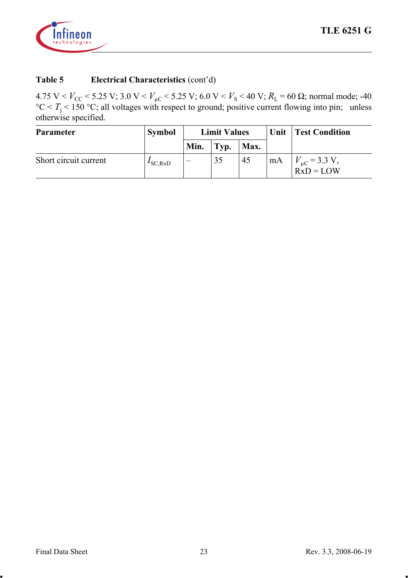

| Parameter             | Symbol              | <b>Limit Values</b>      |      |      |      | Unit   Test Condition               |
|-----------------------|---------------------|--------------------------|------|------|------|-------------------------------------|
|                       |                     | Min.                     | Typ. | Max. |      |                                     |
| Short circuit current | $I_{\text{SC,RxD}}$ | $\overline{\phantom{a}}$ | 35   | 45   | ' mA | $V_{\mu C}$ = 3.3 V,<br>$RxD = LOW$ |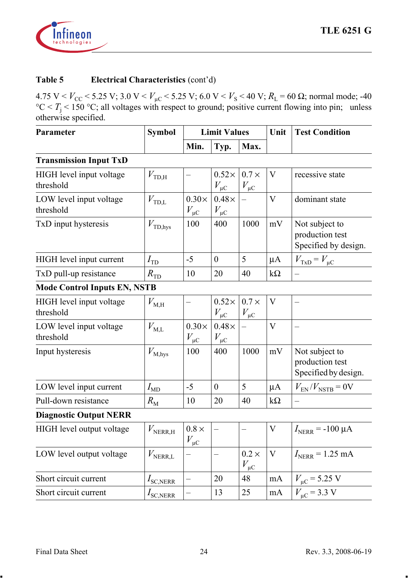

| Parameter                             | <b>Symbol</b>      | <b>Limit Values</b>         |                             |                             | Unit      | <b>Test Condition</b>                                     |  |
|---------------------------------------|--------------------|-----------------------------|-----------------------------|-----------------------------|-----------|-----------------------------------------------------------|--|
|                                       |                    | Min.                        | Typ.                        | Max.                        |           |                                                           |  |
| <b>Transmission Input TxD</b>         |                    |                             |                             |                             |           |                                                           |  |
| HIGH level input voltage<br>threshold | $V_{\text{TD,H}}$  |                             | $0.52\times$<br>$V_{\mu C}$ | $0.7 \times$<br>$V_{\mu C}$ | V         | recessive state                                           |  |
| LOW level input voltage<br>threshold  | $V_{\text{TD,L}}$  | $0.30\times$<br>$V_{\mu C}$ | $0.48\times$<br>$V_{\mu C}$ |                             | V         | dominant state                                            |  |
| TxD input hysteresis                  | $V_{\rm TD, hys}$  | 100                         | 400                         | 1000                        | mV        | Not subject to<br>production test<br>Specified by design. |  |
| HIGH level input current              | $I_{\rm TD}$       | $-5$                        | $\boldsymbol{0}$            | 5                           | μA        | $V_{\text{TxD}} = V_{\mu C}$                              |  |
| TxD pull-up resistance                | $R_{\rm TD}$       | 10                          | 20                          | 40                          | $k\Omega$ |                                                           |  |
| <b>Mode Control Inputs EN, NSTB</b>   |                    |                             |                             |                             |           |                                                           |  |
| HIGH level input voltage<br>threshold | $V_{\rm M,H}$      |                             | $0.52\times$<br>$V_{\mu C}$ | $0.7 \times$<br>$V_{\mu C}$ | V         |                                                           |  |
| LOW level input voltage<br>threshold  | $V_{\rm M,L}$      | $0.30\times$<br>$V_{\mu C}$ | $0.48\times$<br>$V_{\mu C}$ |                             | V         |                                                           |  |
| Input hysteresis                      | $V_{\text{M,hys}}$ | 100                         | 400                         | 1000                        | mV        | Not subject to<br>production test<br>Specified by design. |  |
| LOW level input current               | $I_{MD}$           | $-5$                        | $\theta$                    | 5                           | $\mu A$   | $V_{\text{EN}}/V_{\text{NSTB}} = 0 \text{V}$              |  |
| Pull-down resistance                  | $R_{\rm M}$        | 10                          | 20                          | 40                          | $k\Omega$ |                                                           |  |
| <b>Diagnostic Output NERR</b>         |                    |                             |                             |                             |           |                                                           |  |
| HIGH level output voltage             | $V_{\rm NERR,H}$   | $0.8 \times$<br>$V_{\mu C}$ | $\overline{\phantom{0}}$    | $\overline{\phantom{0}}$    | V         | $I_{NERR}$ = -100 µA                                      |  |
| LOW level output voltage              | $V_{\rm NERR,L}$   |                             | $\overline{\phantom{0}}$    | $0.2 \times$<br>$V_{\mu C}$ | V         | $I_{NERR}$ = 1.25 mA                                      |  |
| Short circuit current                 | $I_{\rm SC, NERR}$ | $\overline{\phantom{0}}$    | 20                          | 48                          | mA        | $V_{\mu C}$ = 5.25 V                                      |  |
| Short circuit current                 | $I_{\rm SC, NERR}$ | $\overline{\phantom{0}}$    | 13                          | 25                          | mA        | $V_{\text{uC}}$ = 3.3 V                                   |  |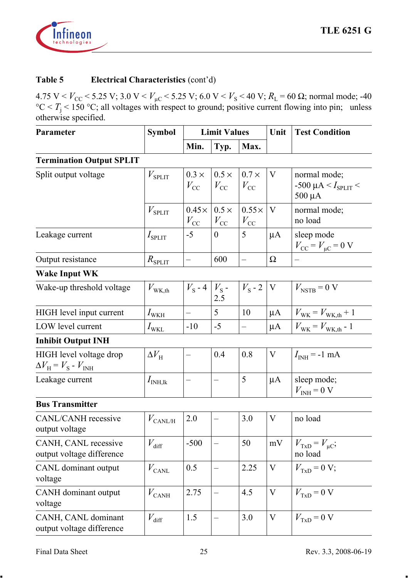

| Parameter                                                                   | Symbol<br><b>Limit Values</b> |                               |                              | Unit                         | <b>Test Condition</b> |                                                               |
|-----------------------------------------------------------------------------|-------------------------------|-------------------------------|------------------------------|------------------------------|-----------------------|---------------------------------------------------------------|
|                                                                             |                               | Min.                          | Typ.                         | Max.                         |                       |                                                               |
| <b>Termination Output SPLIT</b>                                             |                               |                               |                              |                              |                       |                                                               |
| Split output voltage                                                        | $V_{\rm SPIIT}$               | $0.3 \times$<br>$V_{\rm CC}$  | $0.5 \times$<br>$V_{\rm CC}$ | $0.7 \times$<br>$V_{\rm CC}$ | V                     | normal mode;<br>-500 µA < $I_{\text{SPLIT}}$ <<br>$500 \mu A$ |
|                                                                             | $V_{\rm SPIIT}$               | $0.45 \times$<br>$V_{\rm CC}$ | $0.5 \times$<br>$V_{\rm CC}$ | $0.55\times$<br>$V_{\rm CC}$ | $\mathbf{V}$          | normal mode;<br>no load                                       |
| Leakage current                                                             | $I_{\rm SPIIT}$               | $-5$                          | $\overline{0}$               | 5                            | $\mu A$               | sleep mode<br>$V_{\rm CC} = V_{\mu C} = 0 \text{ V}$          |
| Output resistance                                                           | $R_{\rm SPLIT}$               | $\overline{\phantom{0}}$      | 600                          | $\frac{1}{2}$                | Ω                     |                                                               |
| <b>Wake Input WK</b>                                                        |                               |                               |                              |                              |                       |                                                               |
| Wake-up threshold voltage                                                   | $V_{\text{WK,th}}$            | $V_{\rm s}$ - 4               | $V_{\rm s}$ -<br>2.5         | $V_{\rm s}$ - 2              | $\mathbf V$           | $V_{\text{NSTB}} = 0 \text{ V}$                               |
| HIGH level input current                                                    | $I_{\text{WKH}}$              |                               | 5                            | 10                           | $\mu A$               | $V_{\text{WK}} = V_{\text{WK.th}} + 1$                        |
| LOW level current                                                           | $I_{\mathrm{WKL}}$            | $-10$                         | $-5$                         | $-$                          | μA                    | $V_{\rm WK} = V_{\rm WK, th}$ - $1$                           |
| <b>Inhibit Output INH</b>                                                   |                               |                               |                              |                              |                       |                                                               |
| HIGH level voltage drop<br>$\Delta V_{\rm H}$ = $V_{\rm S}$ - $V_{\rm INH}$ | $\Delta V_{\rm H}$            | $-$                           | 0.4                          | 0.8                          | V                     | $I_{INH}$ = -1 mA                                             |
| Leakage current                                                             | $I_{\text{INH},\text{lk}}$    | $\overline{\phantom{0}}$      | $\overline{\phantom{0}}$     | 5                            | $\mu A$               | sleep mode;<br>$V_{\text{INH}} = 0$ V                         |
| <b>Bus Transmitter</b>                                                      |                               |                               |                              |                              |                       |                                                               |
| CANL/CANH recessive<br>output voltage                                       | $V_{\rm CANL/H}$              | 2.0                           | -                            | 3.0                          | V                     | no load                                                       |
| CANH, CANL recessive<br>output voltage difference                           | $V_{\text{diff}}$             | $-500$                        | $\overline{\phantom{0}}$     | 50                           | mV                    | $V_{\text{TxD}} = V_{\mu\text{C}};$<br>no load                |
| CANL dominant output<br>voltage                                             | $V_{\rm CANL}$                | 0.5                           | $\overline{\phantom{0}}$     | 2.25                         | V                     | $V_{TxD} = 0 V;$                                              |
| CANH dominant output<br>voltage                                             | $V_{\rm CAMH}$                | 2.75                          | $\overline{\phantom{0}}$     | 4.5                          | V                     | $V_{\text{TxD}} = 0 \text{ V}$                                |
| CANH, CANL dominant<br>output voltage difference                            | $V_{\rm diff}$                | 1.5                           | $\overline{\phantom{0}}$     | 3.0                          | V                     | $V_{\text{TxD}} = 0 \text{ V}$                                |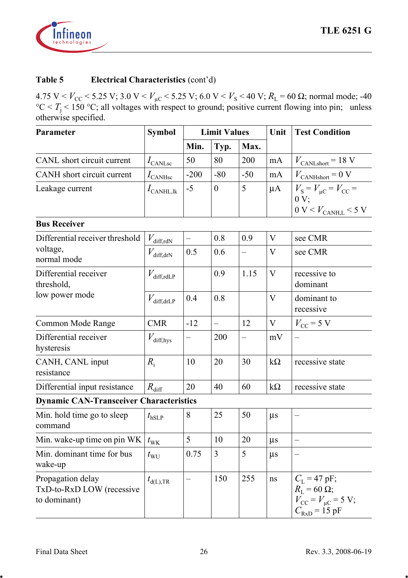

| Parameter                                                      | <b>Symbol</b>                | <b>Limit Values</b>      |                |                          | Unit           | <b>Test Condition</b>                                                                                                      |
|----------------------------------------------------------------|------------------------------|--------------------------|----------------|--------------------------|----------------|----------------------------------------------------------------------------------------------------------------------------|
|                                                                |                              | Min.                     | Typ.           | Max.                     |                |                                                                                                                            |
| CANL short circuit current                                     | $I_{\rm CANLsc}$             | 50                       | 80             | 200                      | mA             | $V_{\text{CANLshort}} = 18 \text{ V}$                                                                                      |
| CANH short circuit current                                     | $I_{\text{CANHsc}}$          | $-200$                   | $-80$          | $-50$                    | mA             | $V_{\rm CANHshort}$ = 0 V                                                                                                  |
| Leakage current                                                | $I_{\text{CANHL},\text{lk}}$ | $-5$                     | $\mathbf{0}$   | 5                        | $\mu A$        | $V_{\rm S} = V_{\rm \mu C} = V_{\rm CC}$ =<br>0 V:                                                                         |
|                                                                |                              |                          |                |                          |                | $0$ V $<$ $V_{\rm{CANH,L}}$ $<$ 5 V                                                                                        |
| <b>Bus Receiver</b>                                            |                              |                          |                |                          |                |                                                                                                                            |
| Differential receiver threshold<br>voltage,<br>normal mode     | $V_{\rm diff,rdN}$           |                          | 0.8            | 0.9                      | V              | see CMR                                                                                                                    |
|                                                                | $V_{\text{diff,drN}}$        | 0.5                      | 0.6            | $\qquad \qquad -$        | V              | see CMR                                                                                                                    |
| Differential receiver<br>threshold,<br>low power mode          | $V_{\text{diff,rdLP}}$       |                          | 0.9            | 1.15                     | V              | recessive to<br>dominant                                                                                                   |
|                                                                | $V_{\rm diff, drLP}$         | 0.4                      | 0.8            |                          | $\overline{V}$ | dominant to<br>recessive                                                                                                   |
| Common Mode Range                                              | CMR                          | $-12$                    | $\overline{a}$ | 12                       | V              | $V_{\text{CC}}$ = 5 V                                                                                                      |
| Differential receiver<br>hysteresis                            | $V_{\text{diff,hys}}$        | $\overline{\phantom{0}}$ | 200            | $\overline{\phantom{0}}$ | mV             | $\overline{\phantom{0}}$                                                                                                   |
| CANH, CANL input<br>resistance                                 | $R_i$                        | 10                       | 20             | 30                       | $k\Omega$      | recessive state                                                                                                            |
| Differential input resistance                                  | $R_{\rm diff}$               | 20                       | 40             | 60                       | $k\Omega$      | recessive state                                                                                                            |
| <b>Dynamic CAN-Transceiver Characteristics</b>                 |                              |                          |                |                          |                |                                                                                                                            |
| Min. hold time go to sleep<br>command                          | $t_{\rm hSLP}$               | 8                        | 25             | 50                       | $\mu s$        |                                                                                                                            |
| Min. wake-up time on pin WK                                    | $t_{\rm WK}$                 | 5                        | 10             | 20                       | $\mu s$        |                                                                                                                            |
| Min. dominant time for bus<br>wake-up                          | $t_{\rm WU}$                 | 0.75                     | 3              | 5                        | $\mu s$        | $\overline{\phantom{0}}$                                                                                                   |
| Propagation delay<br>TxD-to-RxD LOW (recessive<br>to dominant) | $t_{d(L),TR}$                | -                        | 150            | 255                      | ns             | $C_{\rm L}$ = 47 pF;<br>$R_{\rm L}$ = 60 $\Omega$ ;<br>$V_{\rm CC} = V_{\mu C} = 5$ V;<br>$C_{\text{RxD}} = 15 \text{ pF}$ |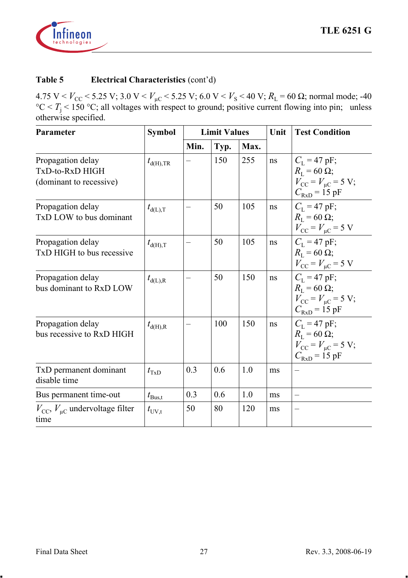

| Parameter                                                       | Symbol           | <b>Limit Values</b> |      |      | Unit | <b>Test Condition</b>                                                                                                          |
|-----------------------------------------------------------------|------------------|---------------------|------|------|------|--------------------------------------------------------------------------------------------------------------------------------|
|                                                                 |                  | Min.                | Typ. | Max. |      |                                                                                                                                |
| Propagation delay<br>TxD-to-RxD HIGH<br>(dominant to recessive) | $t_{d(H),TR}$    |                     | 150  | 255  | ns   | $C_{I} = 47 \text{ pF}$ ;<br>$R_{\rm I} = 60 \Omega$ ;<br>$V_{\rm CC} = V_{\rm uc} = 5$ V;<br>$C_{\text{RxD}} = 15 \text{ pF}$ |
| Propagation delay<br>TxD LOW to bus dominant                    | $t_{d(L),T}$     |                     | 50   | 105  | ns   | $C_{I} = 47 \text{ pF}$ ;<br>$R_{\rm I} = 60 \Omega$ ;<br>$V_{\rm CC} = V_{\rm \mu C} = 5$ V                                   |
| Propagation delay<br>T <sub>x</sub> D HIGH to bus recessive     | $t_{d(H),T}$     |                     | 50   | 105  | ns   | $C_{I} = 47 \text{ pF};$<br>$R_{\rm L} = 60 \Omega$ ;<br>$V_{\rm CC} = V_{\rm HC} = 5$ V                                       |
| Propagation delay<br>bus dominant to RxD LOW                    | $t_{d(L),R}$     |                     | 50   | 150  | ns   | $C_{L} = 47 \text{ pF}$ ;<br>$R_{\rm I} = 60 \Omega$ ;<br>$V_{\rm CC} = V_{\rm uc} = 5$ V;<br>$C_{\text{RxD}}$ = 15 pF         |
| Propagation delay<br>bus recessive to RxD HIGH                  | $t_{d(H),R}$     |                     | 100  | 150  | ns   | $C_{I} = 47 \text{ pF}$ ;<br>$R_{\rm I} = 60 \Omega$ ;<br>$V_{\rm CC} = V_{\rm HC} = 5$ V;<br>$C_{\text{RxD}} = 15 \text{ pF}$ |
| TxD permanent dominant<br>disable time                          | $t_{\text{TxD}}$ | 0.3                 | 0.6  | 1.0  | ms   |                                                                                                                                |
| Bus permanent time-out                                          | $t_{\rm Bus,t}$  | 0.3                 | 0.6  | 1.0  | ms   | $\overline{\phantom{0}}$                                                                                                       |
| $V_{\rm CC}$ , $V_{\rm \mu C}$ undervoltage filter<br>time      | $t_{\rm UV,t}$   | 50                  | 80   | 120  | ms   |                                                                                                                                |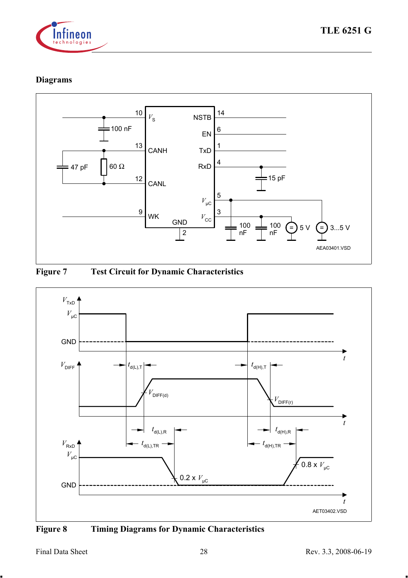

# **Diagrams**







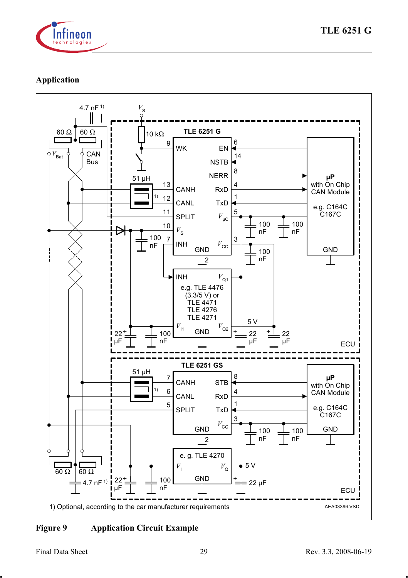

## **Application**



**Figure 9 Application Circuit Example**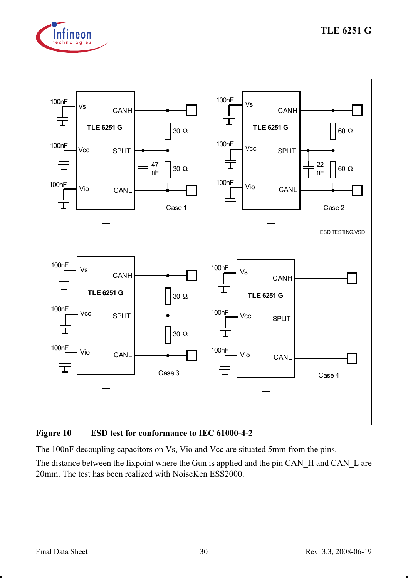



<span id="page-29-0"></span>**Figure 10 ESD test for conformance to IEC 61000-4-2**

The 100nF decoupling capacitors on Vs, Vio and Vcc are situated 5mm from the pins.

The distance between the fixpoint where the Gun is applied and the pin CAN H and CAN L are 20mm. The test has been realized with NoiseKen ESS2000.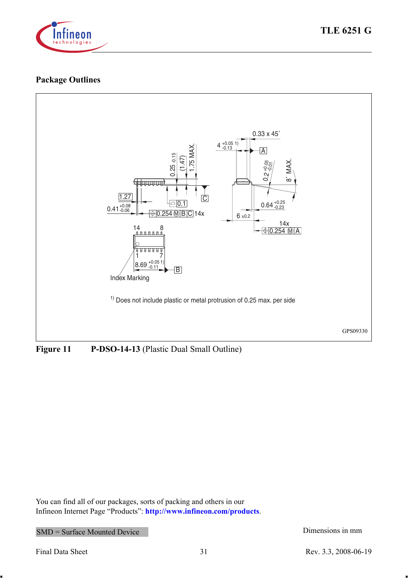

# **Package Outlines**



**Figure 11 P-DSO-14-13** (Plastic Dual Small Outline)

You can find all of our packages, sorts of packing and others in our Infineon Internet Page "Products": **<http://www.infineon.com/products>**.

SMD = Surface Mounted Device Dimensions in mm